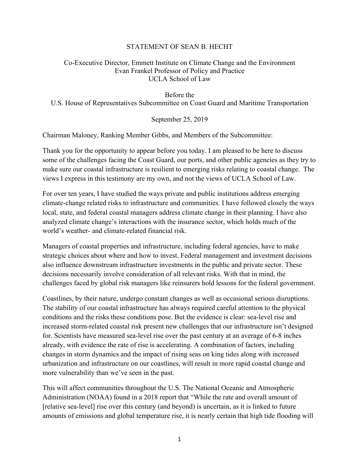## STATEMENT OF SEAN B. HECHT

## Co-Executive Director, Emmett Institute on Climate Change and the Environment Evan Frankel Professor of Policy and Practice UCLA School of Law

Before the U.S. House of Representatives Subcommittee on Coast Guard and Maritime Transportation

September 25, 2019

Chairman Maloney, Ranking Member Gibbs, and Members of the Subcommittee:

Thank you for the opportunity to appear before you today. I am pleased to be here to discuss some of the challenges facing the Coast Guard, our ports, and other public agencies as they try to make sure our coastal infrastructure is resilient to emerging risks relating to coastal change. The views I express in this testimony are my own, and not the views of UCLA School of Law.

For over ten years, I have studied the ways private and public institutions address emerging climate-change related risks to infrastructure and communities. I have followed closely the ways local, state, and federal coastal managers address climate change in their planning. I have also analyzed climate change's interactions with the insurance sector, which holds much of the world's weather- and climate-related financial risk.

Managers of coastal properties and infrastructure, including federal agencies, have to make strategic choices about where and how to invest. Federal management and investment decisions also influence downstream infrastructure investments in the public and private sector. These decisions necessarily involve consideration of all relevant risks. With that in mind, the challenges faced by global risk managers like reinsurers hold lessons for the federal government.

Coastlines, by their nature, undergo constant changes as well as occasional serious disruptions. The stability of our coastal infrastructure has always required careful attention to the physical conditions and the risks these conditions pose. But the evidence is clear: sea-level rise and increased storm-related coastal risk present new challenges that our infrastructure isn't designed for. Scientists have measured sea-level rise over the past century at an average of 6-8 inches already, with evidence the rate of rise is accelerating. A combination of factors, including changes in storm dynamics and the impact of rising seas on king tides along with increased urbanization and infrastructure on our coastlines, will result in more rapid coastal change and more vulnerability than we've seen in the past.

This will affect communities throughout the U.S. The National Oceanic and Atmospheric Administration (NOAA) found in a 2018 report that "While the rate and overall amount of [relative sea-level] rise over this century (and beyond) is uncertain, as it is linked to future amounts of emissions and global temperature rise, it is nearly certain that high tide flooding will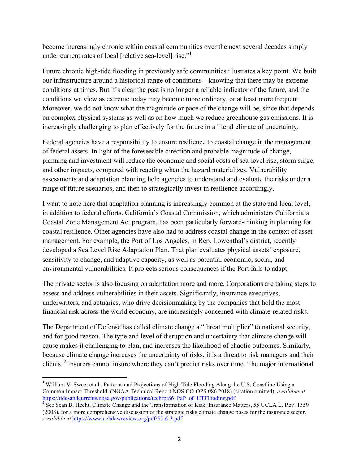become increasingly chronic within coastal communities over the next several decades simply under current rates of local [relative sea-level] rise."<sup>1</sup>

Future chronic high-tide flooding in previously safe communities illustrates a key point. We built our infrastructure around a historical range of conditions—knowing that there may be extreme conditions at times. But it's clear the past is no longer a reliable indicator of the future, and the conditions we view as extreme today may become more ordinary, or at least more frequent. Moreover, we do not know what the magnitude or pace of the change will be, since that depends on complex physical systems as well as on how much we reduce greenhouse gas emissions. It is increasingly challenging to plan effectively for the future in a literal climate of uncertainty.

Federal agencies have a responsibility to ensure resilience to coastal change in the management of federal assets. In light of the foreseeable direction and probable magnitude of change, planning and investment will reduce the economic and social costs of sea-level rise, storm surge, and other impacts, compared with reacting when the hazard materializes. Vulnerability assessments and adaptation planning help agencies to understand and evaluate the risks under a range of future scenarios, and then to strategically invest in resilience accordingly.

I want to note here that adaptation planning is increasingly common at the state and local level, in addition to federal efforts. California's Coastal Commission, which administers California's Coastal Zone Management Act program, has been particularly forward-thinking in planning for coastal resilience. Other agencies have also had to address coastal change in the context of asset management. For example, the Port of Los Angeles, in Rep. Lowenthal's district, recently developed a Sea Level Rise Adaptation Plan. That plan evaluates physical assets' exposure, sensitivity to change, and adaptive capacity, as well as potential economic, social, and environmental vulnerabilities. It projects serious consequences if the Port fails to adapt.

The private sector is also focusing on adaptation more and more. Corporations are taking steps to assess and address vulnerabilities in their assets. Significantly, insurance executives, underwriters, and actuaries, who drive decisionmaking by the companies that hold the most financial risk across the world economy, are increasingly concerned with climate-related risks.

The Department of Defense has called climate change a "threat multiplier" to national security, and for good reason. The type and level of disruption and uncertainty that climate change will cause makes it challenging to plan, and increases the likelihood of chaotic outcomes. Similarly, because climate change increases the uncertainty of risks, it is a threat to risk managers and their clients.<sup>2</sup> Insurers cannot insure where they can't predict risks over time. The major international

<u> 1989 - Jan Samuel Barbara, político establecido de la provincia de la provincia de la provincia de la provinci</u>

<sup>&</sup>lt;sup>1</sup> William V. Sweet et al., Patterns and Projections of High Tide Flooding Along the U.S. Coastline Using a Common Impact Threshold (NOAA Technical Report NOS CO-OPS 086 2018) (citation omitted), *available at* https://tidesandcurrents.noaa.gov/publications/techrpt86\_PaP\_of\_HTFlooding.pdf. <sup>2</sup> See Sean B. Hecht, Climate Change and the Transformation of Risk: Insurance Matters, 55 UCLA L. Rev. 1559

<sup>(2008),</sup> for a more comprehensive discussion of the strategic risks climate change poses for the insurance sector. *Available at* https://www.uclalawreview.org/pdf/55-6-3.pdf.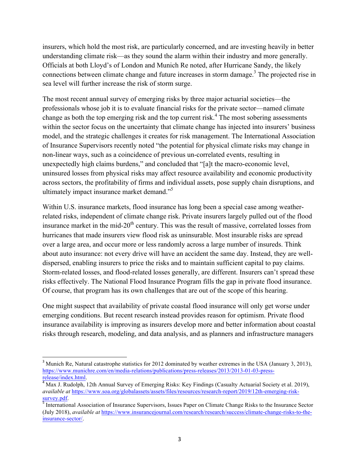insurers, which hold the most risk, are particularly concerned, and are investing heavily in better understanding climate risk—as they sound the alarm within their industry and more generally. Officials at both Lloyd's of London and Munich Re noted, after Hurricane Sandy, the likely connections between climate change and future increases in storm damage.<sup>3</sup> The projected rise in sea level will further increase the risk of storm surge.

The most recent annual survey of emerging risks by three major actuarial societies—the professionals whose job it is to evaluate financial risks for the private sector—named climate change as both the top emerging risk and the top current risk.<sup>4</sup> The most sobering assessments within the sector focus on the uncertainty that climate change has injected into insurers' business model, and the strategic challenges it creates for risk management. The International Association of Insurance Supervisors recently noted "the potential for physical climate risks may change in non-linear ways, such as a coincidence of previous un-correlated events, resulting in unexpectedly high claims burdens," and concluded that "[a]t the macro-economic level, uninsured losses from physical risks may affect resource availability and economic productivity across sectors, the profitability of firms and individual assets, pose supply chain disruptions, and ultimately impact insurance market demand."<sup>5</sup>

Within U.S. insurance markets, flood insurance has long been a special case among weatherrelated risks, independent of climate change risk. Private insurers largely pulled out of the flood insurance market in the mid-20<sup>th</sup> century. This was the result of massive, correlated losses from hurricanes that made insurers view flood risk as uninsurable. Most insurable risks are spread over a large area, and occur more or less randomly across a large number of insureds. Think about auto insurance: not every drive will have an accident the same day. Instead, they are welldispersed, enabling insurers to price the risks and to maintain sufficient capital to pay claims. Storm-related losses, and flood-related losses generally, are different. Insurers can't spread these risks effectively. The National Flood Insurance Program fills the gap in private flood insurance. Of course, that program has its own challenges that are out of the scope of this hearing.

One might suspect that availability of private coastal flood insurance will only get worse under emerging conditions. But recent research instead provides reason for optimism. Private flood insurance availability is improving as insurers develop more and better information about coastal risks through research, modeling, and data analysis, and as planners and infrastructure managers

<u> 1989 - Jan Samuel Barbara, político establecido de la provincia de la provincia de la provincia de la provinci</u>

 $3$  Munich Re, Natural catastrophe statistics for 2012 dominated by weather extremes in the USA (January 3, 2013), https://www.munichre.com/en/media-relations/publications/press-releases/2013/2013-01-03-press-

<sup>&</sup>lt;sup>4</sup> Max J. Rudolph, 12th Annual Survey of Emerging Risks: Key Findings (Casualty Actuarial Society et al. 2019), *available at* https://www.soa.org/globalassets/assets/files/resources/research-report/2019/12th-emerging-risk-

survey.pdf.<br><sup>5</sup> International Association of Insurance Supervisors, Issues Paper on Climate Change Risks to the Insurance Sector (July 2018), *available at* https://www.insurancejournal.com/research/research/success/climate-change-risks-to-theinsurance-sector/.